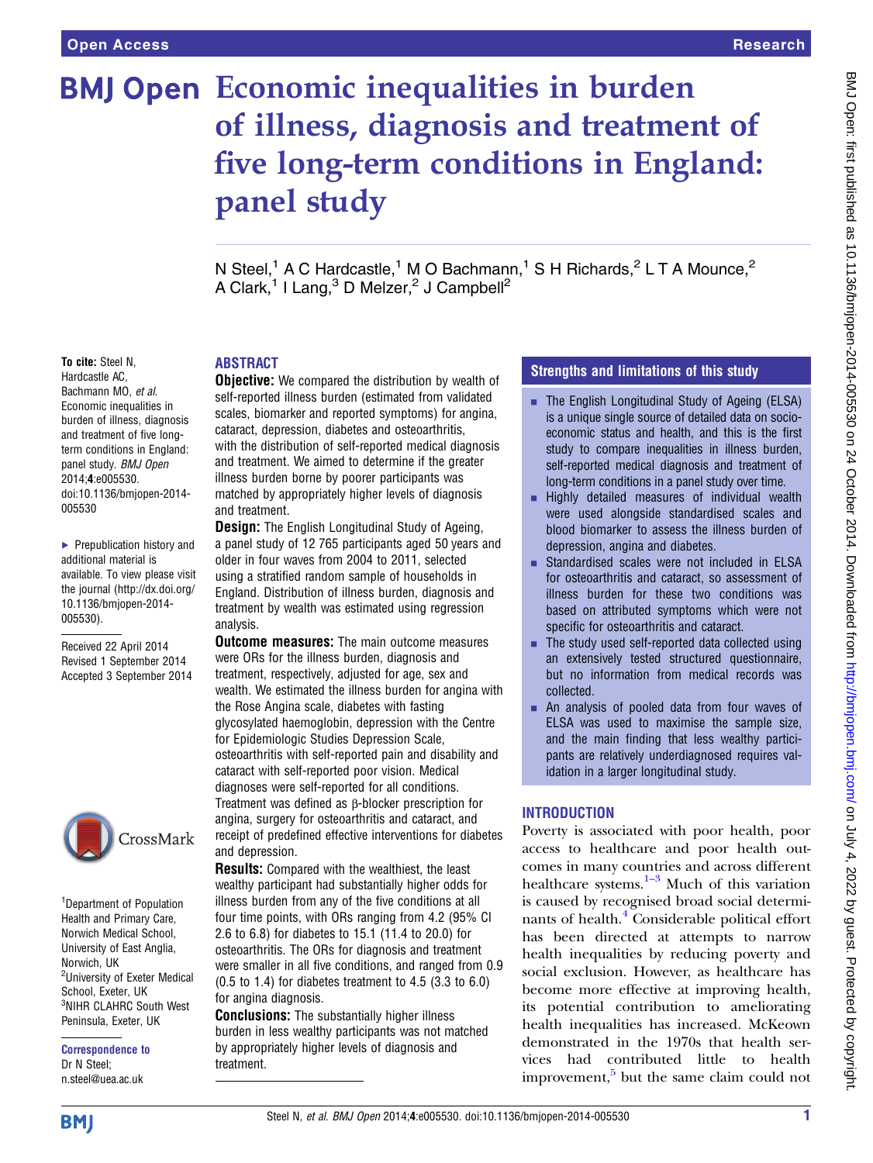# **BMJ Open Economic inequalities in burden** of illness, diagnosis and treatment of five long-term conditions in England: panel study

N Steel,<sup>1</sup> A C Hardcastle,<sup>1</sup> M O Bachmann,<sup>1</sup> S H Richards,<sup>2</sup> L T A Mounce,<sup>2</sup> A Clark,<sup>1</sup> I Lang,<sup>3</sup> D Melzer,<sup>2</sup> J Campbell<sup>2</sup>

#### ABSTRACT

**Objective:** We compared the distribution by wealth of self-reported illness burden (estimated from validated scales, biomarker and reported symptoms) for angina, cataract, depression, diabetes and osteoarthritis, with the distribution of self-reported medical diagnosis and treatment. We aimed to determine if the greater illness burden borne by poorer participants was matched by appropriately higher levels of diagnosis and treatment.

**Design:** The English Longitudinal Study of Ageing, a panel study of 12 765 participants aged 50 years and older in four waves from 2004 to 2011, selected using a stratified random sample of households in England. Distribution of illness burden, diagnosis and treatment by wealth was estimated using regression analysis.

**Outcome measures:** The main outcome measures were ORs for the illness burden, diagnosis and treatment, respectively, adjusted for age, sex and wealth. We estimated the illness burden for angina with the Rose Angina scale, diabetes with fasting glycosylated haemoglobin, depression with the Centre for Epidemiologic Studies Depression Scale, osteoarthritis with self-reported pain and disability and cataract with self-reported poor vision. Medical diagnoses were self-reported for all conditions. Treatment was defined as β-blocker prescription for angina, surgery for osteoarthritis and cataract, and receipt of predefined effective interventions for diabetes and depression.

Results: Compared with the wealthiest, the least wealthy participant had substantially higher odds for illness burden from any of the five conditions at all four time points, with ORs ranging from 4.2 (95% CI 2.6 to 6.8) for diabetes to 15.1 (11.4 to 20.0) for osteoarthritis. The ORs for diagnosis and treatment were smaller in all five conditions, and ranged from 0.9 (0.5 to 1.4) for diabetes treatment to 4.5 (3.3 to 6.0) for angina diagnosis.

**Conclusions:** The substantially higher illness burden in less wealthy participants was not matched by appropriately higher levels of diagnosis and treatment.

### Strengths and limitations of this study

- **E.** The English Longitudinal Study of Ageing (ELSA) is a unique single source of detailed data on socioeconomic status and health, and this is the first study to compare inequalities in illness burden. self-reported medical diagnosis and treatment of long-term conditions in a panel study over time.
- $\blacksquare$  Highly detailed measures of individual wealth were used alongside standardised scales and blood biomarker to assess the illness burden of depression, angina and diabetes.
- Standardised scales were not included in ELSA for osteoarthritis and cataract, so assessment of illness burden for these two conditions was based on attributed symptoms which were not specific for osteoarthritis and cataract.
- The study used self-reported data collected using an extensively tested structured questionnaire, but no information from medical records was collected.
- An analysis of pooled data from four waves of ELSA was used to maximise the sample size, and the main finding that less wealthy participants are relatively underdiagnosed requires validation in a larger longitudinal study.

#### INTRODUCTION

Poverty is associated with poor health, poor access to healthcare and poor health outcomes in many co[untr](#page-6-0)ies and across different healthcare systems.1–<sup>3</sup> Much of this variation is caused by recognised broad social determinants of health. $4^4$  $4^4$  Considerable political effort has been directed at attempts to narrow health inequalities by reducing poverty and social exclusion. However, as healthcare has become more effective at improving health, its potential contribution to ameliorating health inequalities has increased. McKeown demonstrated in the 1970s that health services had contributed little to health improvement, $5$  but the same claim could not

panel study. BMJ Open 2014;4:e005530. doi:10.1136/bmjopen-2014- 005530 ▶ Prepublication history and

To cite: Steel N, Hardcastle AC, Bachmann MO, et al. Economic inequalities in burden of illness, diagnosis and treatment of five longterm conditions in England:

additional material is available. To view please visit the journal [\(http://dx.doi.org/](http://dx.doi.org/10.1136/bmjopen-2014-005530) [10.1136/bmjopen-2014-](http://dx.doi.org/10.1136/bmjopen-2014-005530) [005530\)](http://dx.doi.org/10.1136/bmjopen-2014-005530).

Received 22 April 2014 Revised 1 September 2014 Accepted 3 September 2014



<sup>1</sup> Department of Population Health and Primary Care, Norwich Medical School, University of East Anglia, Norwich, UK <sup>2</sup>University of Exeter Medical School, Exeter, UK 3 NIHR CLAHRC South West Peninsula, Exeter, UK

Correspondence to Dr N Steel; n.steel@uea.ac.uk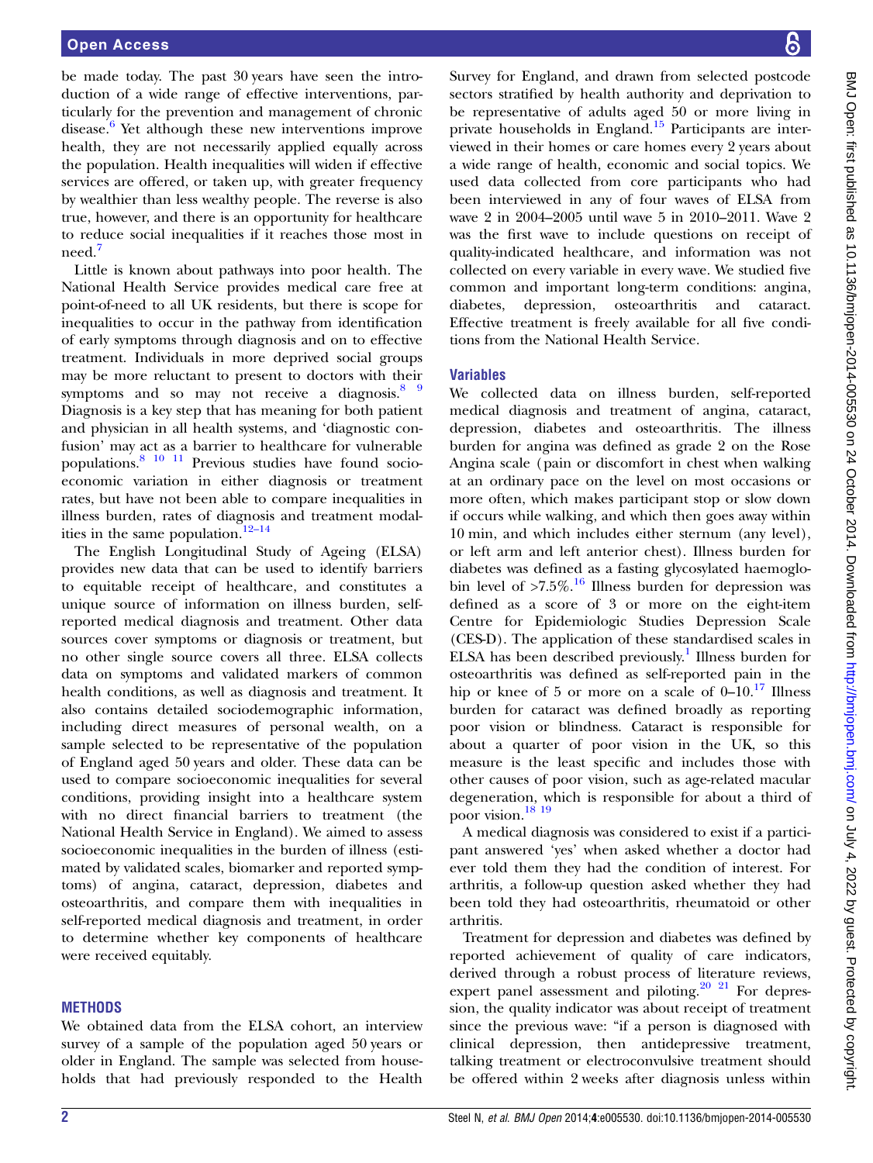be made today. The past 30 years have seen the introduction of a wide range of effective interventions, particularly for the prevention and management of chronic disease.<sup>[6](#page-6-0)</sup> Yet although these new interventions improve health, they are not necessarily applied equally across the population. Health inequalities will widen if effective services are offered, or taken up, with greater frequency by wealthier than less wealthy people. The reverse is also true, however, and there is an opportunity for healthcare to reduce social inequalities if it reaches those most in need.<sup>[7](#page-6-0)</sup>

Little is known about pathways into poor health. The National Health Service provides medical care free at point-of-need to all UK residents, but there is scope for inequalities to occur in the pathway from identification of early symptoms through diagnosis and on to effective treatment. Individuals in more deprived social groups may be more reluctant to present to doctors with their symptoms and so may not receive a diagnosis. $8\frac{9}{9}$ Diagnosis is a key step that has meaning for both patient and physician in all health systems, and 'diagnostic confusion' may act as a barrier to healthcare for vulnerable populations.[8 10 11](#page-6-0) Previous studies have found socioeconomic variation in either diagnosis or treatment rates, but have not been able to compare inequalities in illness burden, rates of diagnosis and treatment modal-ities in the same population.<sup>[12](#page-6-0)–14</sup>

The English Longitudinal Study of Ageing (ELSA) provides new data that can be used to identify barriers to equitable receipt of healthcare, and constitutes a unique source of information on illness burden, selfreported medical diagnosis and treatment. Other data sources cover symptoms or diagnosis or treatment, but no other single source covers all three. ELSA collects data on symptoms and validated markers of common health conditions, as well as diagnosis and treatment. It also contains detailed sociodemographic information, including direct measures of personal wealth, on a sample selected to be representative of the population of England aged 50 years and older. These data can be used to compare socioeconomic inequalities for several conditions, providing insight into a healthcare system with no direct financial barriers to treatment (the National Health Service in England). We aimed to assess socioeconomic inequalities in the burden of illness (estimated by validated scales, biomarker and reported symptoms) of angina, cataract, depression, diabetes and osteoarthritis, and compare them with inequalities in self-reported medical diagnosis and treatment, in order to determine whether key components of healthcare were received equitably.

#### **METHODS**

We obtained data from the ELSA cohort, an interview survey of a sample of the population aged 50 years or older in England. The sample was selected from households that had previously responded to the Health

Survey for England, and drawn from selected postcode sectors stratified by health authority and deprivation to be representative of adults aged 50 or more living in private households in England.<sup>[15](#page-6-0)</sup> Participants are interviewed in their homes or care homes every 2 years about a wide range of health, economic and social topics. We used data collected from core participants who had been interviewed in any of four waves of ELSA from wave 2 in 2004–2005 until wave 5 in 2010–2011. Wave 2 was the first wave to include questions on receipt of quality-indicated healthcare, and information was not collected on every variable in every wave. We studied five common and important long-term conditions: angina, diabetes, depression, osteoarthritis and cataract. Effective treatment is freely available for all five conditions from the National Health Service.

#### Variables

We collected data on illness burden, self-reported medical diagnosis and treatment of angina, cataract, depression, diabetes and osteoarthritis. The illness burden for angina was defined as grade 2 on the Rose Angina scale (pain or discomfort in chest when walking at an ordinary pace on the level on most occasions or more often, which makes participant stop or slow down if occurs while walking, and which then goes away within 10 min, and which includes either sternum (any level), or left arm and left anterior chest). Illness burden for diabetes was defined as a fasting glycosylated haemoglobin level of  $>7.5\%$ .<sup>[16](#page-6-0)</sup> Illness burden for depression was defined as a score of 3 or more on the eight-item Centre for Epidemiologic Studies Depression Scale (CES-D). The application of these standardised scales in ELSA has been described previously.<sup>1</sup> Illness burden for osteoarthritis was defined as self-reported pain in the hip or knee of 5 or more on a scale of  $0-10$ .<sup>17</sup> Illness burden for cataract was defined broadly as reporting poor vision or blindness. Cataract is responsible for about a quarter of poor vision in the UK, so this measure is the least specific and includes those with other causes of poor vision, such as age-related macular degeneration, which is responsible for about a third of poor vision.<sup>[18 19](#page-6-0)</sup>

A medical diagnosis was considered to exist if a participant answered 'yes' when asked whether a doctor had ever told them they had the condition of interest. For arthritis, a follow-up question asked whether they had been told they had osteoarthritis, rheumatoid or other arthritis.

Treatment for depression and diabetes was defined by reported achievement of quality of care indicators, derived through a robust process of literature reviews, expert panel assessment and piloting. $20\frac{20}{21}$  For depression, the quality indicator was about receipt of treatment since the previous wave: "if a person is diagnosed with clinical depression, then antidepressive treatment, talking treatment or electroconvulsive treatment should be offered within 2 weeks after diagnosis unless within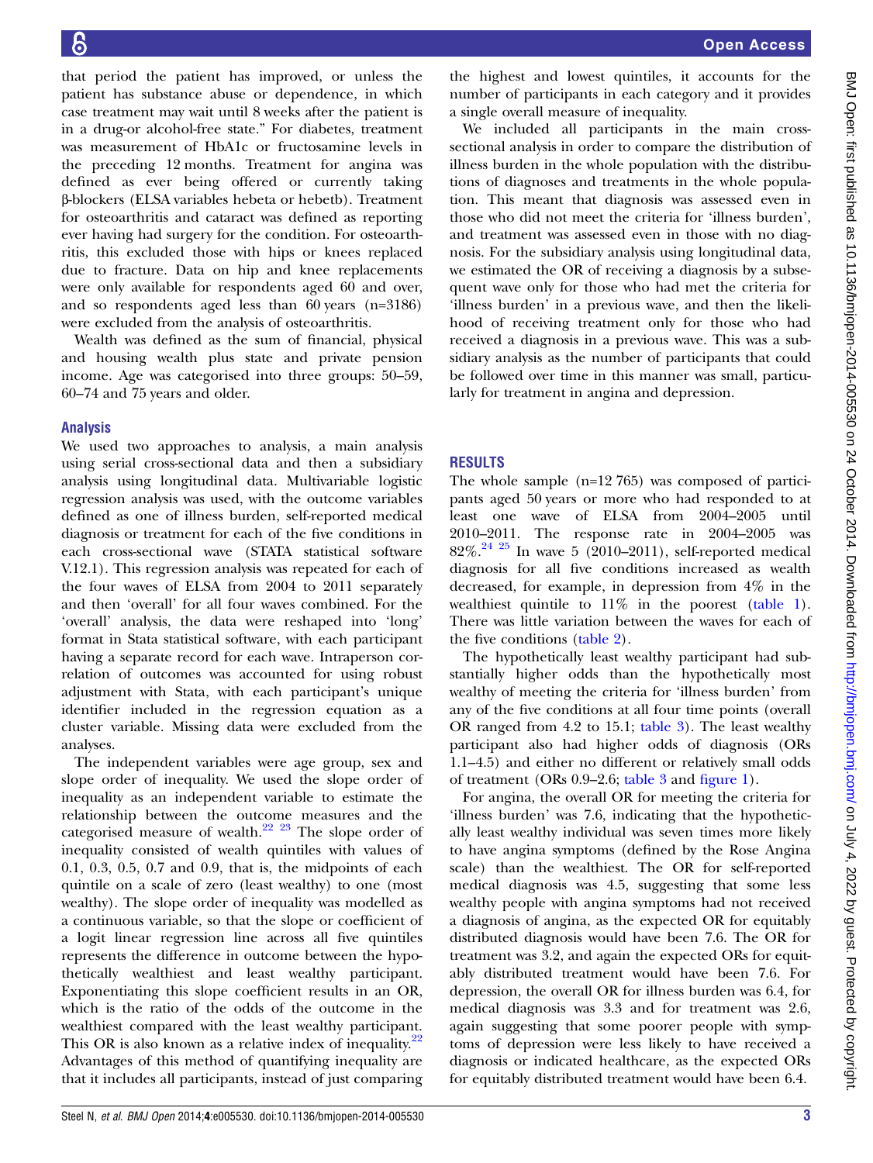that period the patient has improved, or unless the patient has substance abuse or dependence, in which case treatment may wait until 8 weeks after the patient is in a drug-or alcohol-free state." For diabetes, treatment was measurement of HbA1c or fructosamine levels in the preceding 12 months. Treatment for angina was defined as ever being offered or currently taking β-blockers (ELSA variables hebeta or hebetb). Treatment for osteoarthritis and cataract was defined as reporting ever having had surgery for the condition. For osteoarthritis, this excluded those with hips or knees replaced due to fracture. Data on hip and knee replacements were only available for respondents aged 60 and over, and so respondents aged less than 60 years (n=3186) were excluded from the analysis of osteoarthritis.

Wealth was defined as the sum of financial, physical and housing wealth plus state and private pension income. Age was categorised into three groups: 50–59, 60–74 and 75 years and older.

#### Analysis

We used two approaches to analysis, a main analysis using serial cross-sectional data and then a subsidiary analysis using longitudinal data. Multivariable logistic regression analysis was used, with the outcome variables defined as one of illness burden, self-reported medical diagnosis or treatment for each of the five conditions in each cross-sectional wave (STATA statistical software V.12.1). This regression analysis was repeated for each of the four waves of ELSA from 2004 to 2011 separately and then 'overall' for all four waves combined. For the 'overall' analysis, the data were reshaped into 'long' format in Stata statistical software, with each participant having a separate record for each wave. Intraperson correlation of outcomes was accounted for using robust adjustment with Stata, with each participant's unique identifier included in the regression equation as a cluster variable. Missing data were excluded from the analyses.

The independent variables were age group, sex and slope order of inequality. We used the slope order of inequality as an independent variable to estimate the relationship between the outcome measures and the categorised measure of wealth.<sup>[22 23](#page-6-0)</sup> The slope order of inequality consisted of wealth quintiles with values of 0.1, 0.3, 0.5, 0.7 and 0.9, that is, the midpoints of each quintile on a scale of zero (least wealthy) to one (most wealthy). The slope order of inequality was modelled as a continuous variable, so that the slope or coefficient of a logit linear regression line across all five quintiles represents the difference in outcome between the hypothetically wealthiest and least wealthy participant. Exponentiating this slope coefficient results in an OR, which is the ratio of the odds of the outcome in the wealthiest compared with the least wealthy participant. This OR is also known as a relative index of inequality.<sup>[22](#page-6-0)</sup> Advantages of this method of quantifying inequality are that it includes all participants, instead of just comparing

the highest and lowest quintiles, it accounts for the number of participants in each category and it provides a single overall measure of inequality.

We included all participants in the main crosssectional analysis in order to compare the distribution of illness burden in the whole population with the distributions of diagnoses and treatments in the whole population. This meant that diagnosis was assessed even in those who did not meet the criteria for 'illness burden', and treatment was assessed even in those with no diagnosis. For the subsidiary analysis using longitudinal data, we estimated the OR of receiving a diagnosis by a subsequent wave only for those who had met the criteria for 'illness burden' in a previous wave, and then the likelihood of receiving treatment only for those who had received a diagnosis in a previous wave. This was a subsidiary analysis as the number of participants that could be followed over time in this manner was small, particularly for treatment in angina and depression.

#### RESULTS

The whole sample (n=12 765) was composed of participants aged 50 years or more who had responded to at least one wave of ELSA from 2004–2005 until 2010–2011. The response rate in 2004–2005 was 82%.[24 25](#page-6-0) In wave 5 (2010–2011), self-reported medical diagnosis for all five conditions increased as wealth decreased, for example, in depression from 4% in the wealthiest quintile to  $11\%$  in the poorest ([table 1\)](#page-3-0). There was little variation between the waves for each of the five conditions ([table 2\)](#page-3-0).

The hypothetically least wealthy participant had substantially higher odds than the hypothetically most wealthy of meeting the criteria for 'illness burden' from any of the five conditions at all four time points (overall OR ranged from 4.2 to 15.1; [table 3\)](#page-4-0). The least wealthy participant also had higher odds of diagnosis (ORs 1.1–4.5) and either no different or relatively small odds of treatment (ORs 0.9–2.6; [table 3](#page-4-0) and fi[gure 1](#page-4-0)).

For angina, the overall OR for meeting the criteria for 'illness burden' was 7.6, indicating that the hypothetically least wealthy individual was seven times more likely to have angina symptoms (defined by the Rose Angina scale) than the wealthiest. The OR for self-reported medical diagnosis was 4.5, suggesting that some less wealthy people with angina symptoms had not received a diagnosis of angina, as the expected OR for equitably distributed diagnosis would have been 7.6. The OR for treatment was 3.2, and again the expected ORs for equitably distributed treatment would have been 7.6. For depression, the overall OR for illness burden was 6.4, for medical diagnosis was 3.3 and for treatment was 2.6, again suggesting that some poorer people with symptoms of depression were less likely to have received a diagnosis or indicated healthcare, as the expected ORs for equitably distributed treatment would have been 6.4.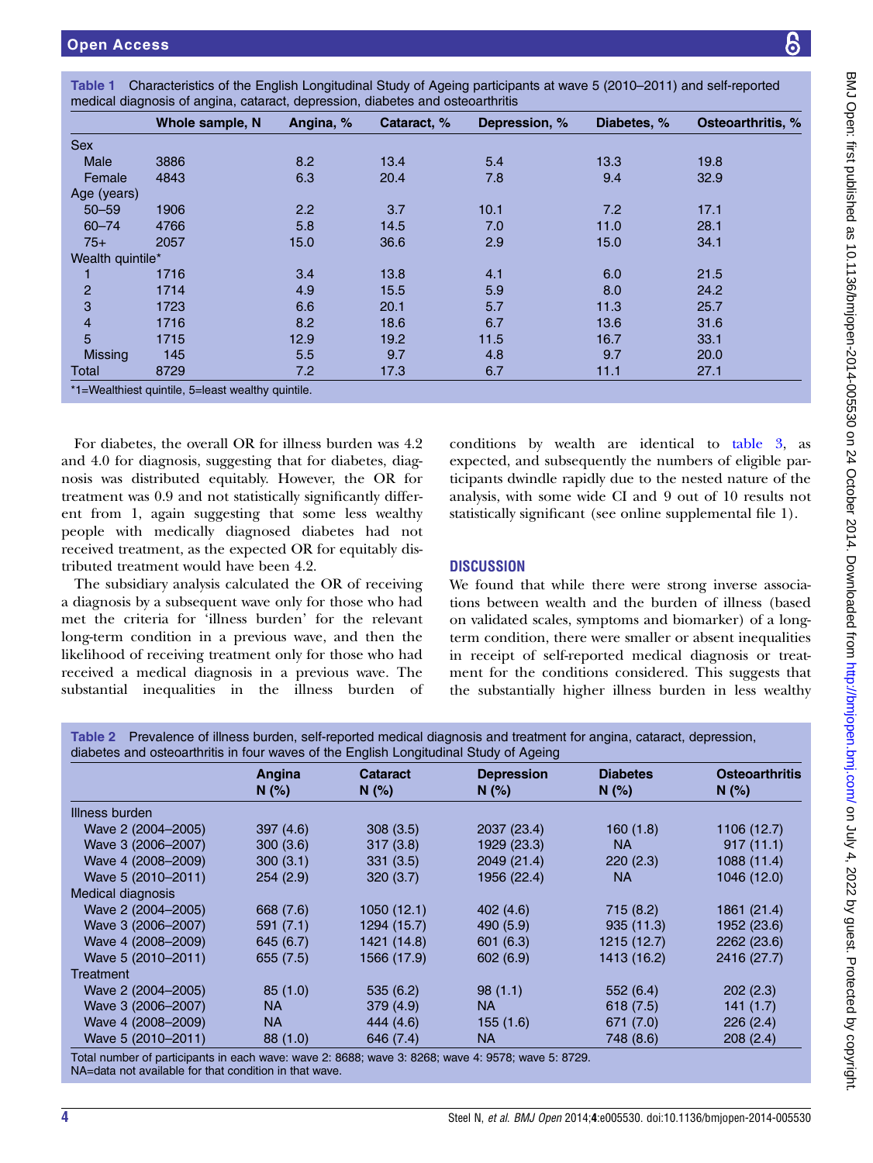<span id="page-3-0"></span>

| ၆<br><b>Open Access</b> |                                                                                                                                                                                                    |           |             |               |             |                   |  |
|-------------------------|----------------------------------------------------------------------------------------------------------------------------------------------------------------------------------------------------|-----------|-------------|---------------|-------------|-------------------|--|
|                         |                                                                                                                                                                                                    |           |             |               |             |                   |  |
| Table 1                 | Characteristics of the English Longitudinal Study of Ageing participants at wave 5 (2010–2011) and self-reported<br>medical diagnosis of angina, cataract, depression, diabetes and osteoarthritis |           |             |               |             |                   |  |
|                         | Whole sample, N                                                                                                                                                                                    | Angina, % | Cataract, % | Depression, % | Diabetes, % | Osteoarthritis, % |  |
| <b>Sex</b>              |                                                                                                                                                                                                    |           |             |               |             |                   |  |
| Male                    | 3886                                                                                                                                                                                               | 8.2       | 13.4        | 5.4           | 13.3        | 19.8              |  |
| Female                  | 4843                                                                                                                                                                                               | 6.3       | 20.4        | 7.8           | 9.4         | 32.9              |  |
| Age (years)             |                                                                                                                                                                                                    |           |             |               |             |                   |  |
| $50 - 59$               | 1906                                                                                                                                                                                               | 2.2       | 3.7         | 10.1          | 7.2         | 17.1              |  |
| $60 - 74$               | 4766                                                                                                                                                                                               | 5.8       | 14.5        | 7.0           | 11.0        | 28.1              |  |
| $75+$                   | 2057                                                                                                                                                                                               | 15.0      | 36.6        | 2.9           | 15.0        | 34.1              |  |
| Wealth quintile*        |                                                                                                                                                                                                    |           |             |               |             |                   |  |
|                         | 1716                                                                                                                                                                                               | 3.4       | 13.8        | 4.1           | 6.0         | 21.5              |  |
| $\overline{2}$          | 1714                                                                                                                                                                                               | 4.9       | 15.5        | 5.9           | 8.0         | 24.2              |  |
| 3                       | 1723                                                                                                                                                                                               | 6.6       | 20.1        | 5.7           | 11.3        | 25.7              |  |
| 4                       | 1716                                                                                                                                                                                               | 8.2       | 18.6        | 6.7           | 13.6        | 31.6              |  |
| 5                       | 1715                                                                                                                                                                                               | 12.9      | 19.2        | 11.5          | 16.7        | 33.1              |  |

Missing 145 5.5 9.7 4.8 9.7 20.0 Total 8729 7.2 17.3 6.7 11.1 27.1

For diabetes, the overall OR for illness burden was 4.2 and 4.0 for diagnosis, suggesting that for diabetes, diagnosis was distributed equitably. However, the OR for treatment was 0.9 and not statistically significantly different from 1, again suggesting that some less wealthy people with medically diagnosed diabetes had not received treatment, as the expected OR for equitably distributed treatment would have been 4.2.

\*1=Wealthiest quintile, 5=least wealthy quintile.

The subsidiary analysis calculated the OR of receiving a diagnosis by a subsequent wave only for those who had met the criteria for 'illness burden' for the relevant long-term condition in a previous wave, and then the likelihood of receiving treatment only for those who had received a medical diagnosis in a previous wave. The substantial inequalities in the illness burden of conditions by wealth are identical to [table 3](#page-4-0), as expected, and subsequently the numbers of eligible participants dwindle rapidly due to the nested nature of the analysis, with some wide CI and 9 out of 10 results not statistically significant (see online supplemental file 1).

#### **DISCUSSION**

We found that while there were strong inverse associations between wealth and the burden of illness (based on validated scales, symptoms and biomarker) of a longterm condition, there were smaller or absent inequalities in receipt of self-reported medical diagnosis or treatment for the conditions considered. This suggests that the substantially higher illness burden in less wealthy

Table 2 Prevalence of illness burden, self-reported medical diagnosis and treatment for angina, cataract, depression, diabetes and osteoarthritis in four waves of the English Longitudinal Study of Ageing

|                    | Angina    | <b>Cataract</b> | <b>Depression</b> | <b>Diabetes</b> | <b>Osteoarthritis</b> |
|--------------------|-----------|-----------------|-------------------|-----------------|-----------------------|
|                    | N(% )     | N(%)            | N(% )             | N(%)            | N(%)                  |
| Illness burden     |           |                 |                   |                 |                       |
| Wave 2 (2004-2005) | 397(4.6)  | 308(3.5)        | 2037 (23.4)       | 160(1.8)        | 1106 (12.7)           |
| Wave 3 (2006-2007) | 300(3.6)  | 317(3.8)        | 1929 (23.3)       | <b>NA</b>       | 917(11.1)             |
| Wave 4 (2008-2009) | 300(3.1)  | 331(3.5)        | 2049 (21.4)       | 220(2.3)        | 1088(11.4)            |
| Wave 5 (2010-2011) | 254(2.9)  | 320(3.7)        | 1956 (22.4)       | <b>NA</b>       | 1046 (12.0)           |
| Medical diagnosis  |           |                 |                   |                 |                       |
| Wave 2 (2004-2005) | 668 (7.6) | 1050(12.1)      | 402(4.6)          | 715(8.2)        | 1861 (21.4)           |
| Wave 3 (2006-2007) | 591(7.1)  | 1294 (15.7)     | 490 (5.9)         | 935(11.3)       | 1952 (23.6)           |
| Wave 4 (2008-2009) | 645(6.7)  | 1421 (14.8)     | 601(6.3)          | 1215(12.7)      | 2262 (23.6)           |
| Wave 5 (2010-2011) | 655 (7.5) | 1566 (17.9)     | 602(6.9)          | 1413 (16.2)     | 2416 (27.7)           |
| Treatment          |           |                 |                   |                 |                       |
| Wave 2 (2004-2005) | 85(1.0)   | 535(6.2)        | 98(1.1)           | 552(6.4)        | 202(2.3)              |
| Wave 3 (2006-2007) | <b>NA</b> | 379 (4.9)       | NA.               | 618(7.5)        | 141(1.7)              |
| Wave 4 (2008-2009) | <b>NA</b> | 444 (4.6)       | 155(1.6)          | 671 (7.0)       | 226(2.4)              |
| Wave 5 (2010-2011) | 88 (1.0)  | 646 (7.4)       | NA.               | 748 (8.6)       | 208(2.4)              |

Total number of participants in each wave: wave 2: 8688; wave 3: 8268; wave 4: 9578; wave 5: 8729. NA=data not available for that condition in that wave.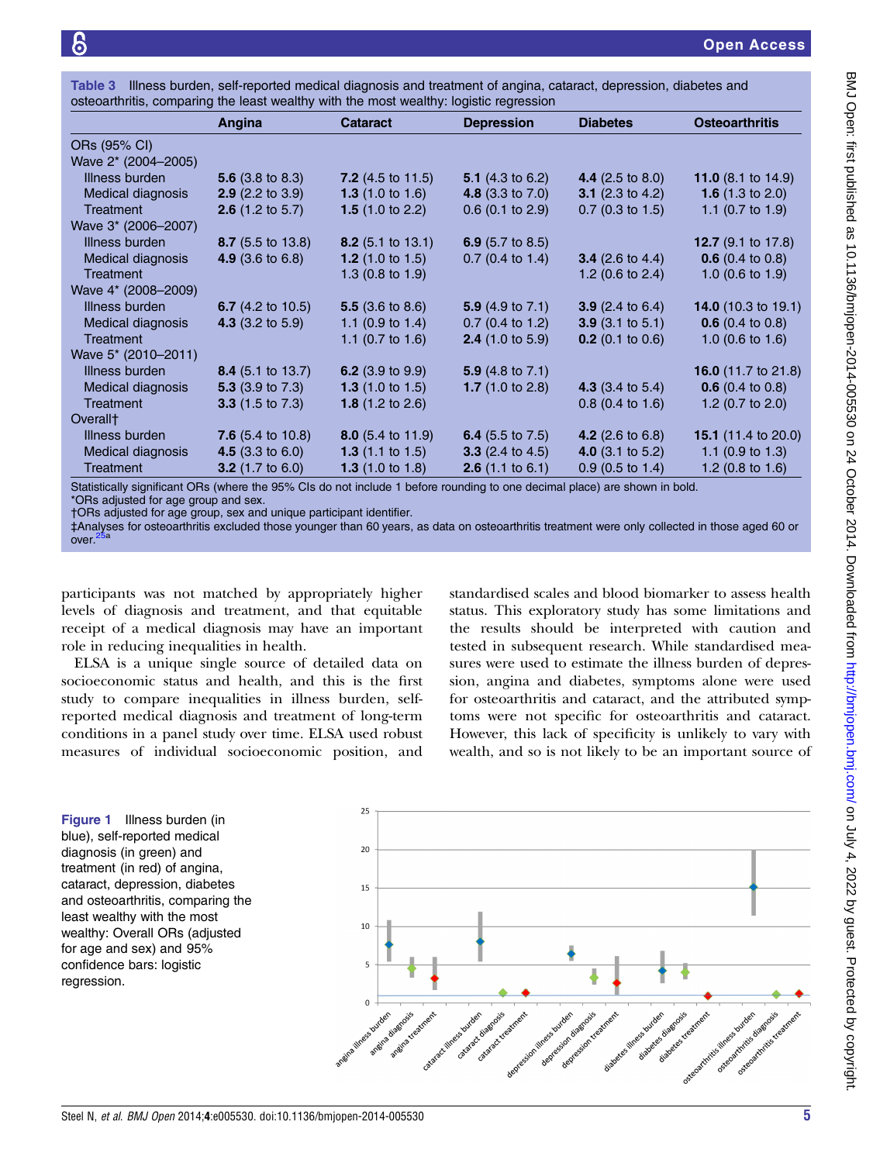|                                                                                                                            | Angina                             | <b>Cataract</b>              | <b>Depression</b>                  | <b>Diabetes</b>             | <b>Osteoarthritis</b>          |
|----------------------------------------------------------------------------------------------------------------------------|------------------------------------|------------------------------|------------------------------------|-----------------------------|--------------------------------|
| ORs (95% CI)                                                                                                               |                                    |                              |                                    |                             |                                |
| Wave 2* (2004-2005)                                                                                                        |                                    |                              |                                    |                             |                                |
| Illness burden                                                                                                             | 5.6 $(3.8 \text{ to } 8.3)$        | 7.2 $(4.5 \text{ to } 11.5)$ | 5.1 $(4.3 \text{ to } 6.2)$        | 4.4 $(2.5 \text{ to } 8.0)$ | 11.0 $(8.1 \text{ to } 14.9)$  |
| Medical diagnosis                                                                                                          | <b>2.9</b> (2.2 to 3.9)            | 1.3 $(1.0 \text{ to } 1.6)$  | 4.8 $(3.3 \text{ to } 7.0)$        | 3.1 $(2.3 \text{ to } 4.2)$ | 1.6 $(1.3 \text{ to } 2.0)$    |
| Treatment                                                                                                                  | <b>2.6</b> $(1.2 \text{ to } 5.7)$ | 1.5 $(1.0 \text{ to } 2.2)$  | $0.6$ (0.1 to 2.9)                 | $0.7$ (0.3 to 1.5)          | 1.1 $(0.7 \text{ to } 1.9)$    |
| Wave 3* (2006-2007)                                                                                                        |                                    |                              |                                    |                             |                                |
| Illness burden                                                                                                             | 8.7 $(5.5 \text{ to } 13.8)$       | <b>8.2</b> (5.1 to 13.1)     | 6.9 $(5.7 \text{ to } 8.5)$        |                             | 12.7 $(9.1 \text{ to } 17.8)$  |
| Medical diagnosis                                                                                                          | 4.9 $(3.6 \text{ to } 6.8)$        | 1.2 $(1.0 \text{ to } 1.5)$  | $0.7$ (0.4 to 1.4)                 | <b>3.4</b> (2.6 to 4.4)     | $0.6(0.4 \text{ to } 0.8)$     |
| Treatment                                                                                                                  |                                    | 1.3 $(0.8 \text{ to } 1.9)$  |                                    | 1.2 $(0.6 \text{ to } 2.4)$ | 1.0 $(0.6 \text{ to } 1.9)$    |
| Wave 4* (2008-2009)                                                                                                        |                                    |                              |                                    |                             |                                |
| Illness burden                                                                                                             | 6.7 (4.2 to $10.5$ )               | 5.5 $(3.6 \text{ to } 8.6)$  | 5.9 $(4.9 \text{ to } 7.1)$        | 3.9 $(2.4 \text{ to } 6.4)$ | 14.0 (10.3 to 19.1)            |
| Medical diagnosis                                                                                                          | 4.3 $(3.2 \text{ to } 5.9)$        | 1.1 $(0.9 \text{ to } 1.4)$  | $0.7$ (0.4 to 1.2)                 | 3.9 $(3.1 \text{ to } 5.1)$ | $0.6$ (0.4 to 0.8)             |
| Treatment                                                                                                                  |                                    | 1.1 $(0.7 \text{ to } 1.6)$  | <b>2.4</b> (1.0 to 5.9)            | $0.2$ (0.1 to 0.6)          | 1.0 $(0.6 \text{ to } 1.6)$    |
| Wave 5* (2010-2011)                                                                                                        |                                    |                              |                                    |                             |                                |
| Illness burden                                                                                                             | 8.4 (5.1 to 13.7)                  | 6.2 $(3.9 \text{ to } 9.9)$  | 5.9 $(4.8 \text{ to } 7.1)$        |                             | 16.0 $(11.7 \text{ to } 21.8)$ |
| Medical diagnosis                                                                                                          | 5.3 $(3.9 \text{ to } 7.3)$        | 1.3 $(1.0 \text{ to } 1.5)$  | 1.7 $(1.0 \text{ to } 2.8)$        | 4.3 $(3.4 \text{ to } 5.4)$ | $0.6$ (0.4 to 0.8)             |
| Treatment                                                                                                                  | 3.3 $(1.5 \text{ to } 7.3)$        | 1.8 $(1.2 \text{ to } 2.6)$  |                                    | $0.8$ (0.4 to 1.6)          | 1.2 (0.7 to 2.0)               |
| Overall <sup>+</sup>                                                                                                       |                                    |                              |                                    |                             |                                |
| Illness burden                                                                                                             | 7.6 $(5.4 \text{ to } 10.8)$       | <b>8.0</b> (5.4 to 11.9)     | 6.4 $(5.5 \text{ to } 7.5)$        | 4.2 $(2.6 \text{ to } 6.8)$ | 15.1 $(11.4 \text{ to } 20.0)$ |
| Medical diagnosis                                                                                                          | 4.5 $(3.3 \text{ to } 6.0)$        | 1.3 $(1.1 \text{ to } 1.5)$  | 3.3 $(2.4 \text{ to } 4.5)$        | 4.0 $(3.1 \text{ to } 5.2)$ | 1.1 $(0.9 \text{ to } 1.3)$    |
| Treatment                                                                                                                  | 3.2 $(1.7 \text{ to } 6.0)$        | 1.3 $(1.0 \text{ to } 1.8)$  | <b>2.6</b> $(1.1 \text{ to } 6.1)$ | $0.9$ (0.5 to 1.4)          | 1.2 $(0.8 \text{ to } 1.6)$    |
| Statistically significant ORs (where the 95% CIs do not include 1 before rounding to one decimal place) are shown in bold. |                                    |                              |                                    |                             |                                |

<span id="page-4-0"></span>Table 3 Illness burden, self-reported medical diagnosis and treatment of angina, cataract, depression, diabetes and comparing the least wealthy with the most wealthy: logistic regression

\*ORs adjusted for age group and sex.

†ORs adjusted for age group, sex and unique participant identifier.

‡Analyses for osteoarthritis excluded those younger than 60 years, as data on osteoarthritis treatment were only collected in those aged 60 or over.

participants was not matched by appropriately higher levels of diagnosis and treatment, and that equitable receipt of a medical diagnosis may have an important role in reducing inequalities in health.

ELSA is a unique single source of detailed data on socioeconomic status and health, and this is the first study to compare inequalities in illness burden, selfreported medical diagnosis and treatment of long-term conditions in a panel study over time. ELSA used robust measures of individual socioeconomic position, and standardised scales and blood biomarker to assess health status. This exploratory study has some limitations and the results should be interpreted with caution and tested in subsequent research. While standardised measures were used to estimate the illness burden of depression, angina and diabetes, symptoms alone were used for osteoarthritis and cataract, and the attributed symptoms were not specific for osteoarthritis and cataract. However, this lack of specificity is unlikely to vary with wealth, and so is not likely to be an important source of

Figure 1 Illness burden (in blue), self-reported medical diagnosis (in green) and treatment (in red) of angina, cataract, depression, diabetes and osteoarthritis, comparing the least wealthy with the most wealthy: Overall ORs (adjusted for age and sex) and 95% confidence bars: logistic regression.

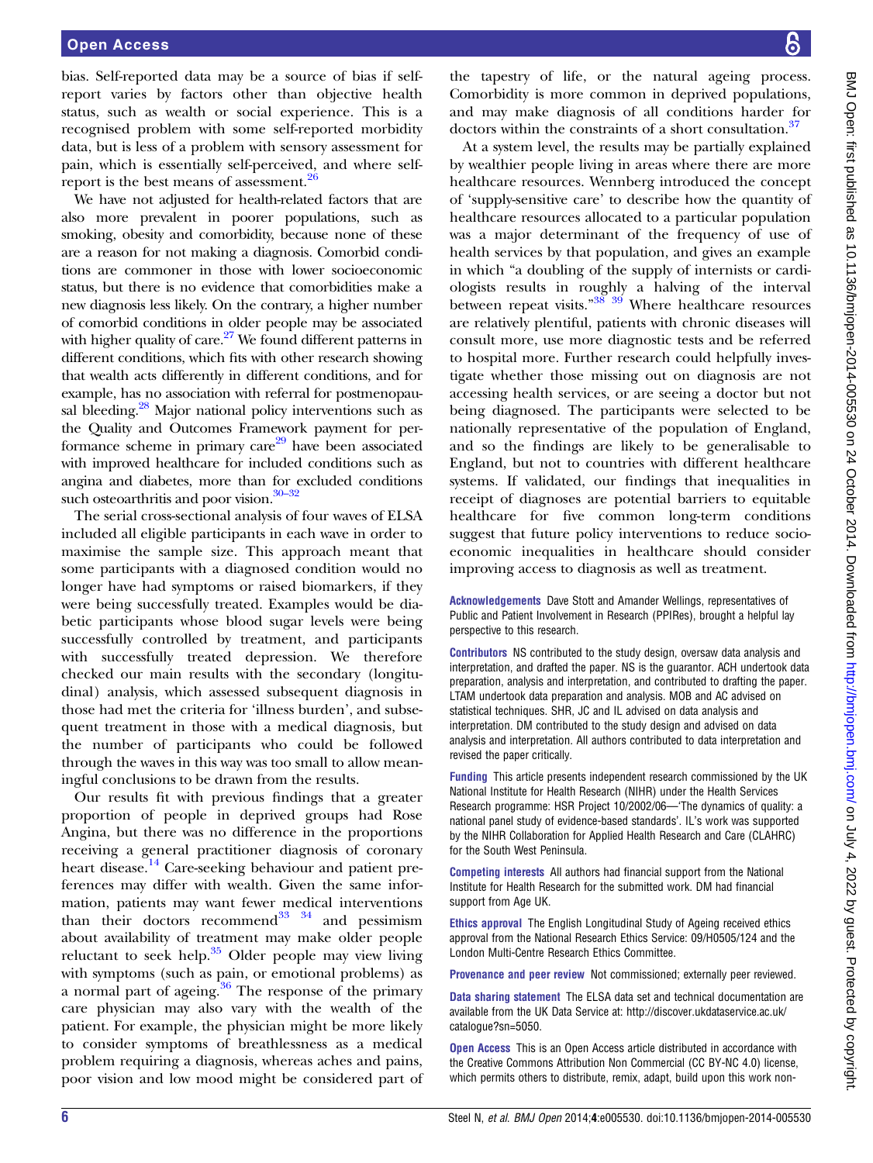bias. Self-reported data may be a source of bias if selfreport varies by factors other than objective health status, such as wealth or social experience. This is a recognised problem with some self-reported morbidity data, but is less of a problem with sensory assessment for pain, which is essentially self-perceived, and where self-report is the best means of assessment.<sup>[26](#page-6-0)</sup>

We have not adjusted for health-related factors that are also more prevalent in poorer populations, such as smoking, obesity and comorbidity, because none of these are a reason for not making a diagnosis. Comorbid conditions are commoner in those with lower socioeconomic status, but there is no evidence that comorbidities make a new diagnosis less likely. On the contrary, a higher number of comorbid conditions in older people may be associated with higher quality of care. $27$  We found different patterns in different conditions, which fits with other research showing that wealth acts differently in different conditions, and for example, has no association with referral for postmenopau-sal bleeding.<sup>[28](#page-6-0)</sup> Major national policy interventions such as the Quality and Outcomes Framework payment for performance scheme in primary care $29$  have been associated with improved healthcare for included conditions such as angina and diabetes, more than for excluded conditions such osteoarthritis and poor vision. $30-32$ 

The serial cross-sectional analysis of four waves of ELSA included all eligible participants in each wave in order to maximise the sample size. This approach meant that some participants with a diagnosed condition would no longer have had symptoms or raised biomarkers, if they were being successfully treated. Examples would be diabetic participants whose blood sugar levels were being successfully controlled by treatment, and participants with successfully treated depression. We therefore checked our main results with the secondary (longitudinal) analysis, which assessed subsequent diagnosis in those had met the criteria for 'illness burden', and subsequent treatment in those with a medical diagnosis, but the number of participants who could be followed through the waves in this way was too small to allow meaningful conclusions to be drawn from the results.

Our results fit with previous findings that a greater proportion of people in deprived groups had Rose Angina, but there was no difference in the proportions receiving a general practitioner diagnosis of coronary heart disease.<sup>[14](#page-6-0)</sup> Care-seeking behaviour and patient preferences may differ with wealth. Given the same information, patients may want fewer medical interventions than their doctors recommend $^{33}$   $^{34}$  and pessimism about availability of treatment may make older people reluctant to seek help. $35$  Older people may view living with symptoms (such as pain, or emotional problems) as a normal part of ageing. $36$  The response of the primary care physician may also vary with the wealth of the patient. For example, the physician might be more likely to consider symptoms of breathlessness as a medical problem requiring a diagnosis, whereas aches and pains, poor vision and low mood might be considered part of

the tapestry of life, or the natural ageing process. Comorbidity is more common in deprived populations, and may make diagnosis of all conditions harder for doctors within the constraints of a short consultation.<sup>[37](#page-6-0)</sup>

At a system level, the results may be partially explained by wealthier people living in areas where there are more healthcare resources. Wennberg introduced the concept of 'supply-sensitive care' to describe how the quantity of healthcare resources allocated to a particular population was a major determinant of the frequency of use of health services by that population, and gives an example in which "a doubling of the supply of internists or cardiologists results in roughly a halving of the interval between repeat visits."<sup>[38 39](#page-6-0)</sup> Where healthcare resources are relatively plentiful, patients with chronic diseases will consult more, use more diagnostic tests and be referred to hospital more. Further research could helpfully investigate whether those missing out on diagnosis are not accessing health services, or are seeing a doctor but not being diagnosed. The participants were selected to be nationally representative of the population of England, and so the findings are likely to be generalisable to England, but not to countries with different healthcare systems. If validated, our findings that inequalities in receipt of diagnoses are potential barriers to equitable healthcare for five common long-term conditions suggest that future policy interventions to reduce socioeconomic inequalities in healthcare should consider improving access to diagnosis as well as treatment.

Acknowledgements Dave Stott and Amander Wellings, representatives of Public and Patient Involvement in Research (PPIRes), brought a helpful lay perspective to this research.

Contributors NS contributed to the study design, oversaw data analysis and interpretation, and drafted the paper. NS is the guarantor. ACH undertook data preparation, analysis and interpretation, and contributed to drafting the paper. LTAM undertook data preparation and analysis. MOB and AC advised on statistical techniques. SHR, JC and IL advised on data analysis and interpretation. DM contributed to the study design and advised on data analysis and interpretation. All authors contributed to data interpretation and revised the paper critically.

Funding This article presents independent research commissioned by the UK National Institute for Health Research (NIHR) under the Health Services Research programme: HSR Project 10/2002/06—'The dynamics of quality: a national panel study of evidence-based standards'. IL's work was supported by the NIHR Collaboration for Applied Health Research and Care (CLAHRC) for the South West Peninsula.

Competing interests All authors had financial support from the National Institute for Health Research for the submitted work. DM had financial support from Age UK.

Ethics approval The English Longitudinal Study of Ageing received ethics approval from the National Research Ethics Service: 09/H0505/124 and the London Multi-Centre Research Ethics Committee.

Provenance and peer review Not commissioned; externally peer reviewed.

Data sharing statement The ELSA data set and technical documentation are available from the UK Data Service at: [http://discover.ukdataservice.ac.uk/](http://discover.ukdataservice.ac.uk/catalogue?sn=5050) [catalogue?sn=5050.](http://discover.ukdataservice.ac.uk/catalogue?sn=5050)

Open Access This is an Open Access article distributed in accordance with the Creative Commons Attribution Non Commercial (CC BY-NC 4.0) license, which permits others to distribute, remix, adapt, build upon this work non-